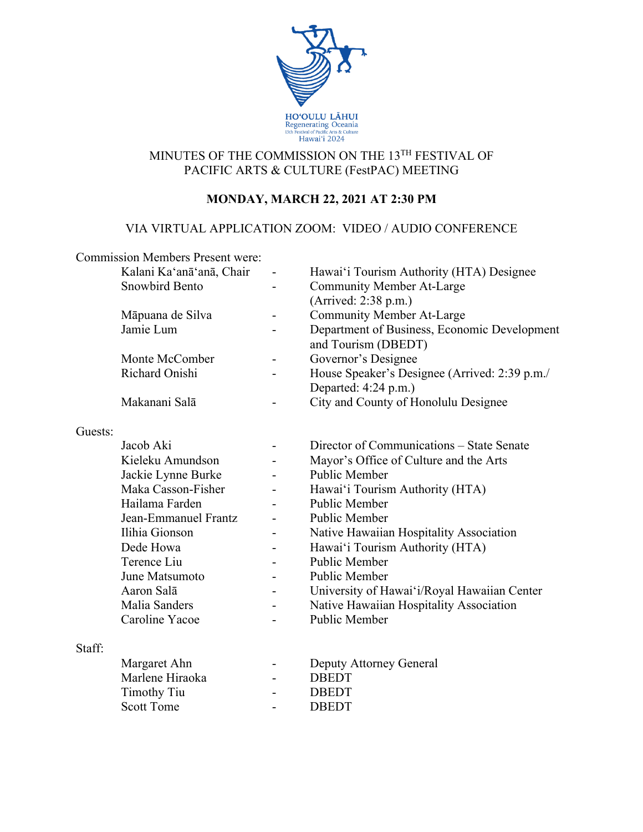

# MINUTES OF THE COMMISSION ON THE 13TH FESTIVAL OF PACIFIC ARTS & CULTURE (FestPAC) MEETING

# **MONDAY, MARCH 22, 2021 AT 2:30 PM**

## VIA VIRTUAL APPLICATION ZOOM: VIDEO / AUDIO CONFERENCE

|         | <b>Commission Members Present were:</b> |   |                                                                       |
|---------|-----------------------------------------|---|-----------------------------------------------------------------------|
|         | Kalani Ka'anā'anā, Chair                |   | Hawai'i Tourism Authority (HTA) Designee                              |
|         | <b>Snowbird Bento</b>                   |   | <b>Community Member At-Large</b>                                      |
|         |                                         |   | (Arrived: 2:38 p.m.)                                                  |
|         | Māpuana de Silva                        |   | <b>Community Member At-Large</b>                                      |
|         | Jamie Lum                               |   | Department of Business, Economic Development<br>and Tourism (DBEDT)   |
|         | Monte McComber                          |   | Governor's Designee                                                   |
|         | Richard Onishi                          |   | House Speaker's Designee (Arrived: 2:39 p.m./<br>Departed: 4:24 p.m.) |
|         | Makanani Salā                           |   | City and County of Honolulu Designee                                  |
| Guests: |                                         |   |                                                                       |
|         | Jacob Aki                               |   | Director of Communications – State Senate                             |
|         | Kieleku Amundson                        |   | Mayor's Office of Culture and the Arts                                |
|         | Jackie Lynne Burke                      |   | Public Member                                                         |
|         | Maka Casson-Fisher                      |   | Hawai'i Tourism Authority (HTA)                                       |
|         | Hailama Farden                          |   | Public Member                                                         |
|         | Jean-Emmanuel Frantz                    |   | Public Member                                                         |
|         | Ilihia Gionson                          |   | Native Hawaiian Hospitality Association                               |
|         | Dede Howa                               |   | Hawai'i Tourism Authority (HTA)                                       |
|         | Terence Liu                             |   | Public Member                                                         |
|         | June Matsumoto                          |   | Public Member                                                         |
|         | Aaron Salā                              |   | University of Hawai'i/Royal Hawaiian Center                           |
|         | Malia Sanders                           | ۰ | Native Hawaiian Hospitality Association                               |
|         | Caroline Yacoe                          |   | <b>Public Member</b>                                                  |
| Staff:  |                                         |   |                                                                       |
|         | Margaret Ahn                            |   | Deputy Attorney General                                               |
|         | Marlene Hiraoka                         |   | <b>DBEDT</b>                                                          |
|         | <b>Timothy Tiu</b>                      |   | <b>DBEDT</b>                                                          |
|         | <b>Scott Tome</b>                       |   | <b>DBEDT</b>                                                          |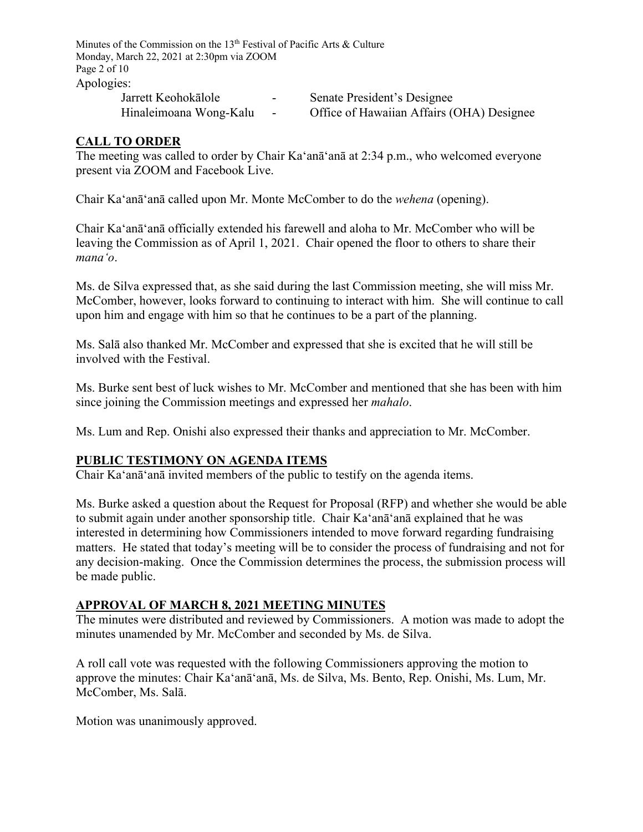Minutes of the Commission on the  $13<sup>th</sup>$  Festival of Pacific Arts & Culture Monday, March 22, 2021 at 2:30pm via ZOOM Page 2 of 10 Apologies: Jarrett Keohokālole - Senate President's Designee

Hinaleimoana Wong-Kalu - Office of Hawaiian Affairs (OHA) Designee

### **CALL TO ORDER**

The meeting was called to order by Chair Ka'anā'anā at 2:34 p.m., who welcomed everyone present via ZOOM and Facebook Live.

Chair Ka'anā'anā called upon Mr. Monte McComber to do the *wehena* (opening).

Chair Ka'anā'anā officially extended his farewell and aloha to Mr. McComber who will be leaving the Commission as of April 1, 2021. Chair opened the floor to others to share their *manaʻo*.

Ms. de Silva expressed that, as she said during the last Commission meeting, she will miss Mr. McComber, however, looks forward to continuing to interact with him. She will continue to call upon him and engage with him so that he continues to be a part of the planning.

Ms. Salā also thanked Mr. McComber and expressed that she is excited that he will still be involved with the Festival.

Ms. Burke sent best of luck wishes to Mr. McComber and mentioned that she has been with him since joining the Commission meetings and expressed her *mahalo*.

Ms. Lum and Rep. Onishi also expressed their thanks and appreciation to Mr. McComber.

### **PUBLIC TESTIMONY ON AGENDA ITEMS**

Chair Ka'anā'anā invited members of the public to testify on the agenda items.

Ms. Burke asked a question about the Request for Proposal (RFP) and whether she would be able to submit again under another sponsorship title. Chair Ka'anā'anā explained that he was interested in determining how Commissioners intended to move forward regarding fundraising matters. He stated that today's meeting will be to consider the process of fundraising and not for any decision-making. Once the Commission determines the process, the submission process will be made public.

#### **APPROVAL OF MARCH 8, 2021 MEETING MINUTES**

The minutes were distributed and reviewed by Commissioners. A motion was made to adopt the minutes unamended by Mr. McComber and seconded by Ms. de Silva.

A roll call vote was requested with the following Commissioners approving the motion to approve the minutes: Chair Ka'anā'anā, Ms. de Silva, Ms. Bento, Rep. Onishi, Ms. Lum, Mr. McComber, Ms. Salā.

Motion was unanimously approved.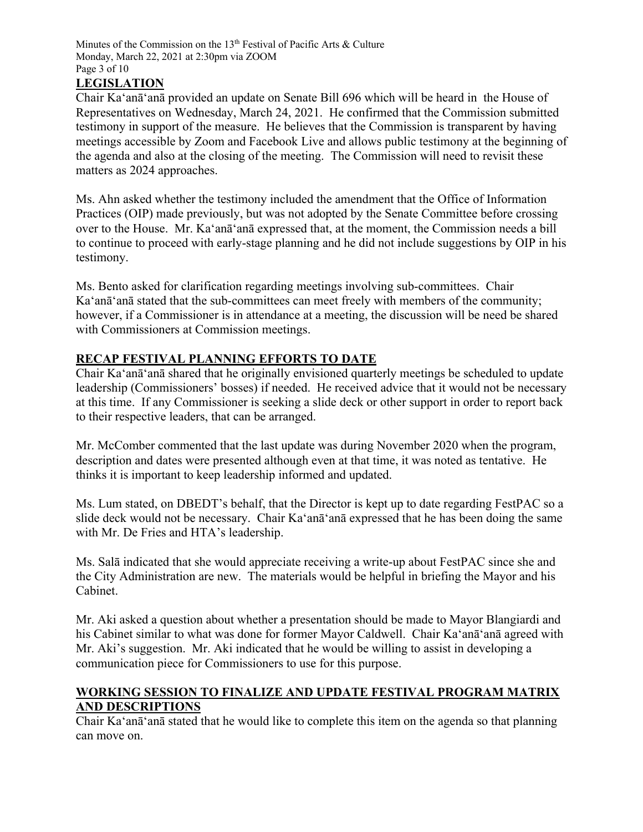Minutes of the Commission on the 13<sup>th</sup> Festival of Pacific Arts & Culture Monday, March 22, 2021 at 2:30pm via ZOOM Page 3 of 10

## **LEGISLATION**

Chair Ka'anā'anā provided an update on Senate Bill 696 which will be heard in the House of Representatives on Wednesday, March 24, 2021. He confirmed that the Commission submitted testimony in support of the measure. He believes that the Commission is transparent by having meetings accessible by Zoom and Facebook Live and allows public testimony at the beginning of the agenda and also at the closing of the meeting. The Commission will need to revisit these matters as 2024 approaches.

Ms. Ahn asked whether the testimony included the amendment that the Office of Information Practices (OIP) made previously, but was not adopted by the Senate Committee before crossing over to the House. Mr. Ka'anā'anā expressed that, at the moment, the Commission needs a bill to continue to proceed with early-stage planning and he did not include suggestions by OIP in his testimony.

Ms. Bento asked for clarification regarding meetings involving sub-committees. Chair Ka'anā'anā stated that the sub-committees can meet freely with members of the community; however, if a Commissioner is in attendance at a meeting, the discussion will be need be shared with Commissioners at Commission meetings.

### **RECAP FESTIVAL PLANNING EFFORTS TO DATE**

Chair Ka'anā'anā shared that he originally envisioned quarterly meetings be scheduled to update leadership (Commissioners' bosses) if needed. He received advice that it would not be necessary at this time. If any Commissioner is seeking a slide deck or other support in order to report back to their respective leaders, that can be arranged.

Mr. McComber commented that the last update was during November 2020 when the program, description and dates were presented although even at that time, it was noted as tentative. He thinks it is important to keep leadership informed and updated.

Ms. Lum stated, on DBEDT's behalf, that the Director is kept up to date regarding FestPAC so a slide deck would not be necessary. Chair Ka'anā'anā expressed that he has been doing the same with Mr. De Fries and HTA's leadership.

Ms. Salā indicated that she would appreciate receiving a write-up about FestPAC since she and the City Administration are new. The materials would be helpful in briefing the Mayor and his Cabinet.

Mr. Aki asked a question about whether a presentation should be made to Mayor Blangiardi and his Cabinet similar to what was done for former Mayor Caldwell. Chair Ka'anā'anā agreed with Mr. Aki's suggestion. Mr. Aki indicated that he would be willing to assist in developing a communication piece for Commissioners to use for this purpose.

### **WORKING SESSION TO FINALIZE AND UPDATE FESTIVAL PROGRAM MATRIX AND DESCRIPTIONS**

Chair Ka'anā'anā stated that he would like to complete this item on the agenda so that planning can move on.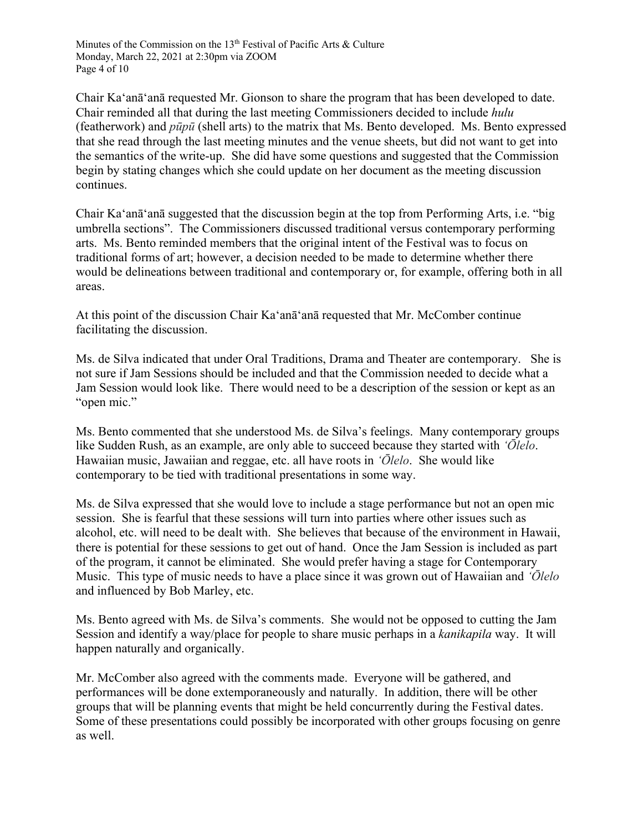Minutes of the Commission on the 13<sup>th</sup> Festival of Pacific Arts & Culture Monday, March 22, 2021 at 2:30pm via ZOOM Page 4 of 10

Chair Ka'anā'anā requested Mr. Gionson to share the program that has been developed to date. Chair reminded all that during the last meeting Commissioners decided to include *hulu* (featherwork) and *pūpū* (shell arts) to the matrix that Ms. Bento developed. Ms. Bento expressed that she read through the last meeting minutes and the venue sheets, but did not want to get into the semantics of the write-up. She did have some questions and suggested that the Commission begin by stating changes which she could update on her document as the meeting discussion continues.

Chair Ka'anā'anā suggested that the discussion begin at the top from Performing Arts, i.e. "big umbrella sections". The Commissioners discussed traditional versus contemporary performing arts. Ms. Bento reminded members that the original intent of the Festival was to focus on traditional forms of art; however, a decision needed to be made to determine whether there would be delineations between traditional and contemporary or, for example, offering both in all areas.

At this point of the discussion Chair Ka'anā'anā requested that Mr. McComber continue facilitating the discussion.

Ms. de Silva indicated that under Oral Traditions, Drama and Theater are contemporary. She is not sure if Jam Sessions should be included and that the Commission needed to decide what a Jam Session would look like. There would need to be a description of the session or kept as an "open mic."

Ms. Bento commented that she understood Ms. de Silva's feelings. Many contemporary groups like Sudden Rush, as an example, are only able to succeed because they started with *ʻŌlelo*. Hawaiian music, Jawaiian and reggae, etc. all have roots in *ʻŌlelo*. She would like contemporary to be tied with traditional presentations in some way.

Ms. de Silva expressed that she would love to include a stage performance but not an open mic session. She is fearful that these sessions will turn into parties where other issues such as alcohol, etc. will need to be dealt with. She believes that because of the environment in Hawaii, there is potential for these sessions to get out of hand. Once the Jam Session is included as part of the program, it cannot be eliminated. She would prefer having a stage for Contemporary Music. This type of music needs to have a place since it was grown out of Hawaiian and *ʻŌlelo* and influenced by Bob Marley, etc.

Ms. Bento agreed with Ms. de Silva's comments. She would not be opposed to cutting the Jam Session and identify a way/place for people to share music perhaps in a *kanikapila* way. It will happen naturally and organically.

Mr. McComber also agreed with the comments made. Everyone will be gathered, and performances will be done extemporaneously and naturally. In addition, there will be other groups that will be planning events that might be held concurrently during the Festival dates. Some of these presentations could possibly be incorporated with other groups focusing on genre as well.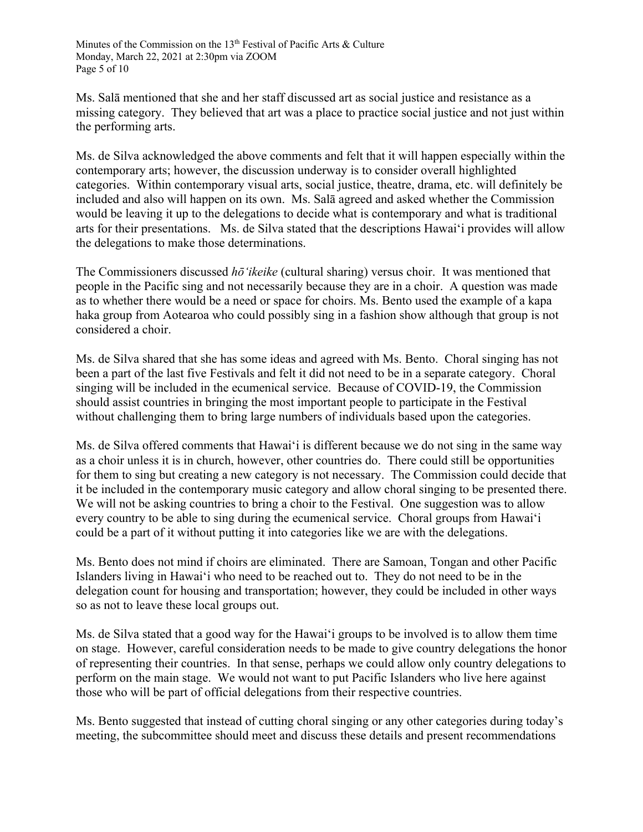Ms. Salā mentioned that she and her staff discussed art as social justice and resistance as a missing category. They believed that art was a place to practice social justice and not just within the performing arts.

Ms. de Silva acknowledged the above comments and felt that it will happen especially within the contemporary arts; however, the discussion underway is to consider overall highlighted categories. Within contemporary visual arts, social justice, theatre, drama, etc. will definitely be included and also will happen on its own. Ms. Salā agreed and asked whether the Commission would be leaving it up to the delegations to decide what is contemporary and what is traditional arts for their presentations. Ms. de Silva stated that the descriptions Hawai'i provides will allow the delegations to make those determinations.

The Commissioners discussed *hōʻikeike* (cultural sharing) versus choir. It was mentioned that people in the Pacific sing and not necessarily because they are in a choir. A question was made as to whether there would be a need or space for choirs. Ms. Bento used the example of a kapa haka group from Aotearoa who could possibly sing in a fashion show although that group is not considered a choir.

Ms. de Silva shared that she has some ideas and agreed with Ms. Bento. Choral singing has not been a part of the last five Festivals and felt it did not need to be in a separate category. Choral singing will be included in the ecumenical service. Because of COVID-19, the Commission should assist countries in bringing the most important people to participate in the Festival without challenging them to bring large numbers of individuals based upon the categories.

Ms. de Silva offered comments that Hawai'i is different because we do not sing in the same way as a choir unless it is in church, however, other countries do. There could still be opportunities for them to sing but creating a new category is not necessary. The Commission could decide that it be included in the contemporary music category and allow choral singing to be presented there. We will not be asking countries to bring a choir to the Festival. One suggestion was to allow every country to be able to sing during the ecumenical service. Choral groups from Hawaiʻi could be a part of it without putting it into categories like we are with the delegations.

Ms. Bento does not mind if choirs are eliminated. There are Samoan, Tongan and other Pacific Islanders living in Hawai'i who need to be reached out to. They do not need to be in the delegation count for housing and transportation; however, they could be included in other ways so as not to leave these local groups out.

Ms. de Silva stated that a good way for the Hawai'i groups to be involved is to allow them time on stage. However, careful consideration needs to be made to give country delegations the honor of representing their countries. In that sense, perhaps we could allow only country delegations to perform on the main stage. We would not want to put Pacific Islanders who live here against those who will be part of official delegations from their respective countries.

Ms. Bento suggested that instead of cutting choral singing or any other categories during today's meeting, the subcommittee should meet and discuss these details and present recommendations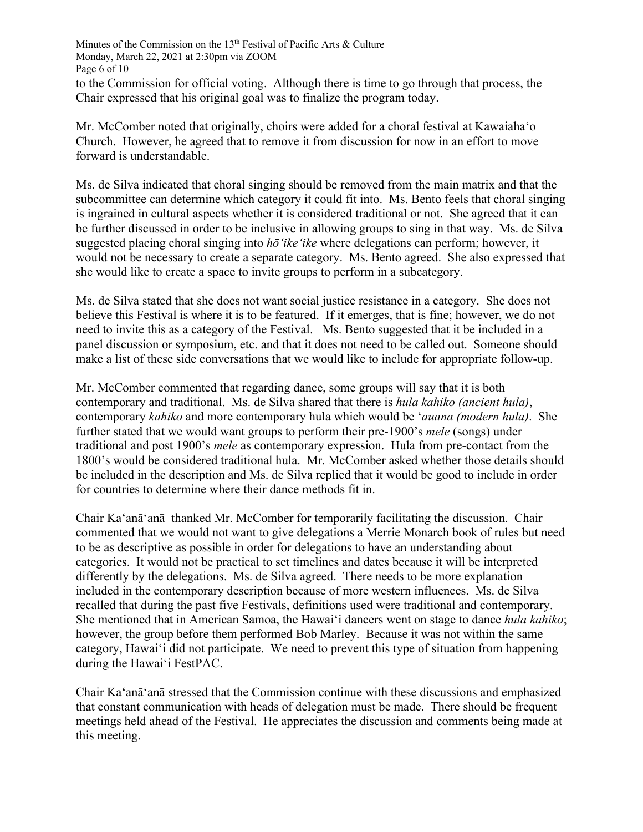Minutes of the Commission on the 13<sup>th</sup> Festival of Pacific Arts & Culture Monday, March 22, 2021 at 2:30pm via ZOOM Page 6 of 10 to the Commission for official voting. Although there is time to go through that process, the Chair expressed that his original goal was to finalize the program today.

Mr. McComber noted that originally, choirs were added for a choral festival at Kawaiahaʻo Church. However, he agreed that to remove it from discussion for now in an effort to move forward is understandable.

Ms. de Silva indicated that choral singing should be removed from the main matrix and that the subcommittee can determine which category it could fit into. Ms. Bento feels that choral singing is ingrained in cultural aspects whether it is considered traditional or not. She agreed that it can be further discussed in order to be inclusive in allowing groups to sing in that way. Ms. de Silva suggested placing choral singing into *hōʻikeʻike* where delegations can perform; however, it would not be necessary to create a separate category. Ms. Bento agreed. She also expressed that she would like to create a space to invite groups to perform in a subcategory.

Ms. de Silva stated that she does not want social justice resistance in a category. She does not believe this Festival is where it is to be featured. If it emerges, that is fine; however, we do not need to invite this as a category of the Festival. Ms. Bento suggested that it be included in a panel discussion or symposium, etc. and that it does not need to be called out. Someone should make a list of these side conversations that we would like to include for appropriate follow-up.

Mr. McComber commented that regarding dance, some groups will say that it is both contemporary and traditional. Ms. de Silva shared that there is *hula kahiko (ancient hula)*, contemporary *kahiko* and more contemporary hula which would be ʻ*auana (modern hula)*. She further stated that we would want groups to perform their pre-1900's *mele* (songs) under traditional and post 1900's *mele* as contemporary expression. Hula from pre-contact from the 1800's would be considered traditional hula. Mr. McComber asked whether those details should be included in the description and Ms. de Silva replied that it would be good to include in order for countries to determine where their dance methods fit in.

Chair Ka'anā'anā thanked Mr. McComber for temporarily facilitating the discussion. Chair commented that we would not want to give delegations a Merrie Monarch book of rules but need to be as descriptive as possible in order for delegations to have an understanding about categories. It would not be practical to set timelines and dates because it will be interpreted differently by the delegations. Ms. de Silva agreed. There needs to be more explanation included in the contemporary description because of more western influences. Ms. de Silva recalled that during the past five Festivals, definitions used were traditional and contemporary. She mentioned that in American Samoa, the Hawai'i dancers went on stage to dance *hula kahiko*; however, the group before them performed Bob Marley. Because it was not within the same category, Hawai'i did not participate. We need to prevent this type of situation from happening during the Hawai'i FestPAC.

Chair Ka'anā'anā stressed that the Commission continue with these discussions and emphasized that constant communication with heads of delegation must be made. There should be frequent meetings held ahead of the Festival. He appreciates the discussion and comments being made at this meeting.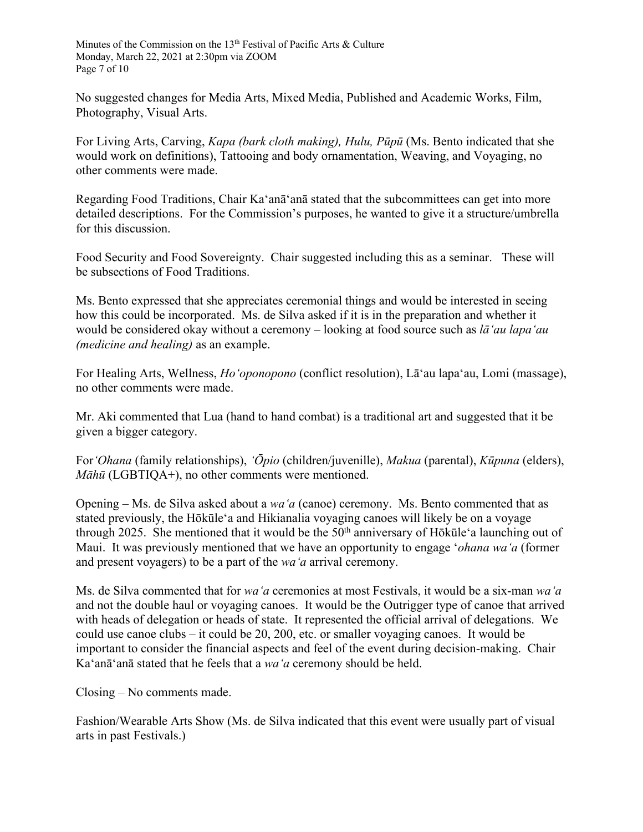Minutes of the Commission on the 13<sup>th</sup> Festival of Pacific Arts & Culture Monday, March 22, 2021 at 2:30pm via ZOOM Page 7 of 10

No suggested changes for Media Arts, Mixed Media, Published and Academic Works, Film, Photography, Visual Arts.

For Living Arts, Carving, *Kapa (bark cloth making), Hulu, Pūpū* (Ms. Bento indicated that she would work on definitions), Tattooing and body ornamentation, Weaving, and Voyaging, no other comments were made.

Regarding Food Traditions, Chair Ka'anā'anā stated that the subcommittees can get into more detailed descriptions. For the Commission's purposes, he wanted to give it a structure/umbrella for this discussion.

Food Security and Food Sovereignty. Chair suggested including this as a seminar. These will be subsections of Food Traditions.

Ms. Bento expressed that she appreciates ceremonial things and would be interested in seeing how this could be incorporated. Ms. de Silva asked if it is in the preparation and whether it would be considered okay without a ceremony – looking at food source such as *lāʻau lapaʻau (medicine and healing)* as an example.

For Healing Arts, Wellness, *Hoʻoponopono* (conflict resolution), Lāʻau lapaʻau, Lomi (massage), no other comments were made.

Mr. Aki commented that Lua (hand to hand combat) is a traditional art and suggested that it be given a bigger category.

For*ʻOhana* (family relationships), *ʻŌpio* (children/juvenille), *Makua* (parental), *Kūpuna* (elders), *Māhū* (LGBTIQA+), no other comments were mentioned.

Opening – Ms. de Silva asked about a *waʻa* (canoe) ceremony. Ms. Bento commented that as stated previously, the Hōkūleʻa and Hikianalia voyaging canoes will likely be on a voyage through 2025. She mentioned that it would be the  $50<sup>th</sup>$  anniversary of Hōkūle<sup>*'a*</sup> launching out of Maui. It was previously mentioned that we have an opportunity to engage ʻ*ohana waʻa* (former and present voyagers) to be a part of the *waʻa* arrival ceremony.

Ms. de Silva commented that for *waʻa* ceremonies at most Festivals, it would be a six-man *waʻa* and not the double haul or voyaging canoes. It would be the Outrigger type of canoe that arrived with heads of delegation or heads of state. It represented the official arrival of delegations. We could use canoe clubs – it could be 20, 200, etc. or smaller voyaging canoes. It would be important to consider the financial aspects and feel of the event during decision-making. Chair Ka'anā'anā stated that he feels that a *waʻa* ceremony should be held.

Closing – No comments made.

Fashion/Wearable Arts Show (Ms. de Silva indicated that this event were usually part of visual arts in past Festivals.)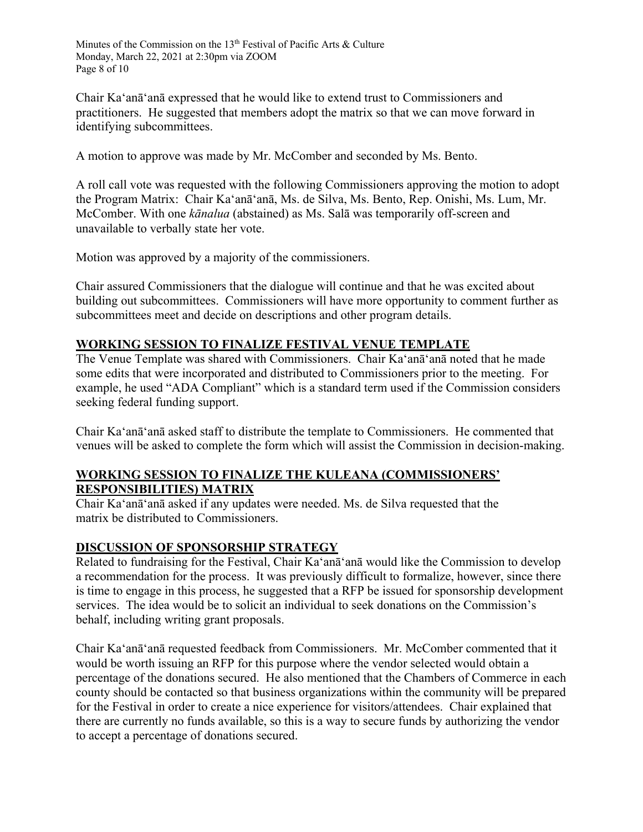Minutes of the Commission on the 13<sup>th</sup> Festival of Pacific Arts & Culture Monday, March 22, 2021 at 2:30pm via ZOOM Page 8 of 10

Chair Ka'anā'anā expressed that he would like to extend trust to Commissioners and practitioners. He suggested that members adopt the matrix so that we can move forward in identifying subcommittees.

A motion to approve was made by Mr. McComber and seconded by Ms. Bento.

A roll call vote was requested with the following Commissioners approving the motion to adopt the Program Matrix: Chair Ka'anā'anā, Ms. de Silva, Ms. Bento, Rep. Onishi, Ms. Lum, Mr. McComber. With one *kānalua* (abstained) as Ms. Salā was temporarily off-screen and unavailable to verbally state her vote.

Motion was approved by a majority of the commissioners.

Chair assured Commissioners that the dialogue will continue and that he was excited about building out subcommittees. Commissioners will have more opportunity to comment further as subcommittees meet and decide on descriptions and other program details.

#### **WORKING SESSION TO FINALIZE FESTIVAL VENUE TEMPLATE**

The Venue Template was shared with Commissioners. Chair Ka'anā'anā noted that he made some edits that were incorporated and distributed to Commissioners prior to the meeting. For example, he used "ADA Compliant" which is a standard term used if the Commission considers seeking federal funding support.

Chair Ka'anā'anā asked staff to distribute the template to Commissioners. He commented that venues will be asked to complete the form which will assist the Commission in decision-making.

#### **WORKING SESSION TO FINALIZE THE KULEANA (COMMISSIONERS' RESPONSIBILITIES) MATRIX**

Chair Ka'anā'anā asked if any updates were needed. Ms. de Silva requested that the matrix be distributed to Commissioners.

### **DISCUSSION OF SPONSORSHIP STRATEGY**

Related to fundraising for the Festival, Chair Ka'anā'anā would like the Commission to develop a recommendation for the process. It was previously difficult to formalize, however, since there is time to engage in this process, he suggested that a RFP be issued for sponsorship development services. The idea would be to solicit an individual to seek donations on the Commission's behalf, including writing grant proposals.

Chair Ka'anā'anā requested feedback from Commissioners. Mr. McComber commented that it would be worth issuing an RFP for this purpose where the vendor selected would obtain a percentage of the donations secured. He also mentioned that the Chambers of Commerce in each county should be contacted so that business organizations within the community will be prepared for the Festival in order to create a nice experience for visitors/attendees. Chair explained that there are currently no funds available, so this is a way to secure funds by authorizing the vendor to accept a percentage of donations secured.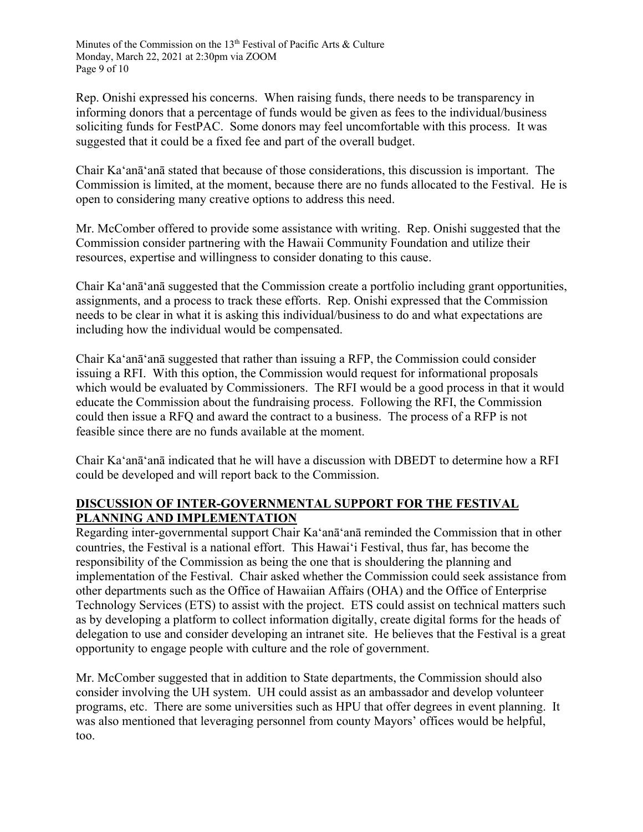Minutes of the Commission on the 13<sup>th</sup> Festival of Pacific Arts & Culture Monday, March 22, 2021 at 2:30pm via ZOOM Page 9 of 10

Rep. Onishi expressed his concerns. When raising funds, there needs to be transparency in informing donors that a percentage of funds would be given as fees to the individual/business soliciting funds for FestPAC. Some donors may feel uncomfortable with this process. It was suggested that it could be a fixed fee and part of the overall budget.

Chair Ka'anā'anā stated that because of those considerations, this discussion is important. The Commission is limited, at the moment, because there are no funds allocated to the Festival. He is open to considering many creative options to address this need.

Mr. McComber offered to provide some assistance with writing. Rep. Onishi suggested that the Commission consider partnering with the Hawaii Community Foundation and utilize their resources, expertise and willingness to consider donating to this cause.

Chair Ka'anā'anā suggested that the Commission create a portfolio including grant opportunities, assignments, and a process to track these efforts. Rep. Onishi expressed that the Commission needs to be clear in what it is asking this individual/business to do and what expectations are including how the individual would be compensated.

Chair Ka'anā'anā suggested that rather than issuing a RFP, the Commission could consider issuing a RFI. With this option, the Commission would request for informational proposals which would be evaluated by Commissioners. The RFI would be a good process in that it would educate the Commission about the fundraising process. Following the RFI, the Commission could then issue a RFQ and award the contract to a business. The process of a RFP is not feasible since there are no funds available at the moment.

Chair Ka'anā'anā indicated that he will have a discussion with DBEDT to determine how a RFI could be developed and will report back to the Commission.

## **DISCUSSION OF INTER-GOVERNMENTAL SUPPORT FOR THE FESTIVAL PLANNING AND IMPLEMENTATION**

Regarding inter-governmental support Chair Ka'anā'anā reminded the Commission that in other countries, the Festival is a national effort. This Hawaiʻi Festival, thus far, has become the responsibility of the Commission as being the one that is shouldering the planning and implementation of the Festival. Chair asked whether the Commission could seek assistance from other departments such as the Office of Hawaiian Affairs (OHA) and the Office of Enterprise Technology Services (ETS) to assist with the project. ETS could assist on technical matters such as by developing a platform to collect information digitally, create digital forms for the heads of delegation to use and consider developing an intranet site. He believes that the Festival is a great opportunity to engage people with culture and the role of government.

Mr. McComber suggested that in addition to State departments, the Commission should also consider involving the UH system. UH could assist as an ambassador and develop volunteer programs, etc. There are some universities such as HPU that offer degrees in event planning. It was also mentioned that leveraging personnel from county Mayors' offices would be helpful, too.